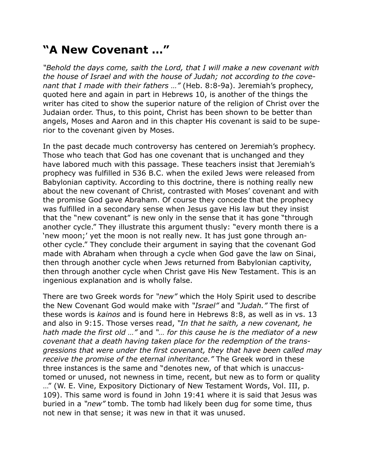## **"A New Covenant …"**

*"Behold the days come, saith the Lord, that I will make a new covenant with the house of Israel and with the house of Judah; not according to the covenant that I made with their fathers …"* (Heb. 8:8-9a). Jeremiah's prophecy, quoted here and again in part in Hebrews 10, is another of the things the writer has cited to show the superior nature of the religion of Christ over the Judaian order. Thus, to this point, Christ has been shown to be better than angels, Moses and Aaron and in this chapter His covenant is said to be superior to the covenant given by Moses.

In the past decade much controversy has centered on Jeremiah's prophecy. Those who teach that God has one covenant that is unchanged and they have labored much with this passage. These teachers insist that Jeremiah's prophecy was fulfilled in 536 B.C. when the exiled Jews were released from Babylonian captivity. According to this doctrine, there is nothing really new about the new covenant of Christ, contrasted with Moses' covenant and with the promise God gave Abraham. Of course they concede that the prophecy was fulfilled in a secondary sense when Jesus gave His law but they insist that the "new covenant" is new only in the sense that it has gone "through another cycle." They illustrate this argument thusly: "every month there is a 'new moon;' yet the moon is not really new. It has just gone through another cycle." They conclude their argument in saying that the covenant God made with Abraham when through a cycle when God gave the law on Sinai, then through another cycle when Jews returned from Babylonian captivity, then through another cycle when Christ gave His New Testament. This is an ingenious explanation and is wholly false.

There are two Greek words for *"new"* which the Holy Spirit used to describe the New Covenant God would make with *"Israel"* and *"Judah."* The first of these words is *kainos* and is found here in Hebrews 8:8, as well as in vs. 13 and also in 9:15. Those verses read, *"In that he saith, a new covenant, he hath made the first old …"* and *"… for this cause he is the mediator of a new covenant that a death having taken place for the redemption of the transgressions that were under the first covenant, they that have been called may receive the promise of the eternal inheritance."* The Greek word in these three instances is the same and "denotes new, of that which is unaccustomed or unused, not newness in time, recent, but new as to form or quality …" (W. E. Vine, Expository Dictionary of New Testament Words, Vol. III, p. 109). This same word is found in John 19:41 where it is said that Jesus was buried in a *"new"* tomb. The tomb had likely been dug for some time, thus not new in that sense; it was new in that it was unused.